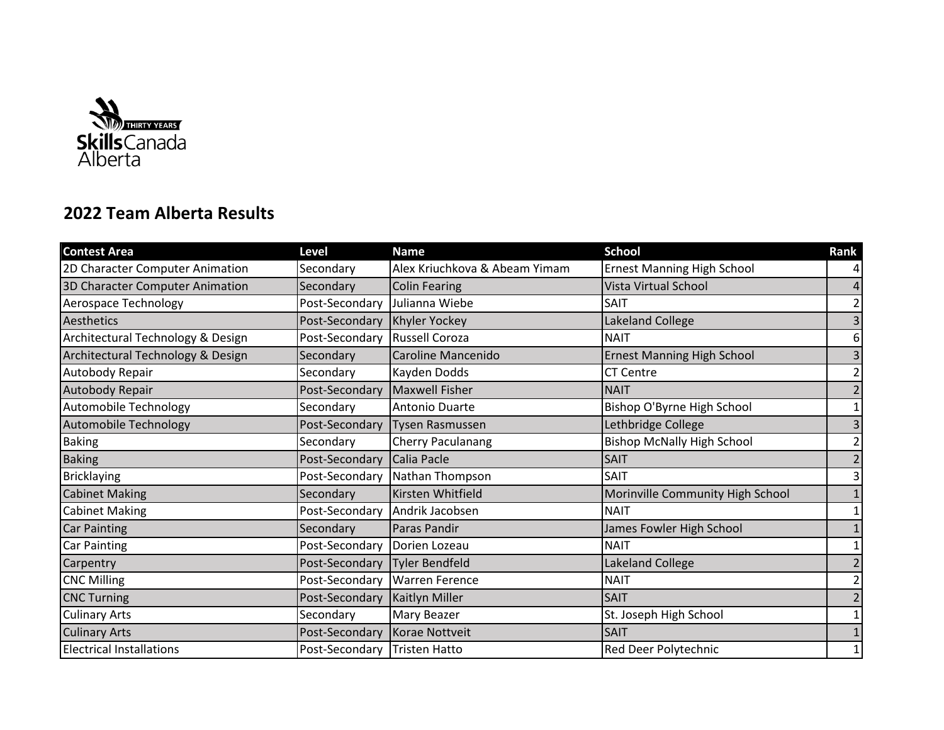

## **2022 Team Alberta Results**

| <b>Contest Area</b>               | <b>Level</b>   | <b>Name</b>                   | <b>School</b>                     | Rank           |
|-----------------------------------|----------------|-------------------------------|-----------------------------------|----------------|
| 2D Character Computer Animation   | Secondary      | Alex Kriuchkova & Abeam Yimam | <b>Ernest Manning High School</b> | 4              |
| 3D Character Computer Animation   | Secondary      | <b>Colin Fearing</b>          | <b>Vista Virtual School</b>       | 4              |
| Aerospace Technology              | Post-Secondary | Julianna Wiebe                | SAIT                              | $\overline{2}$ |
| Aesthetics                        | Post-Secondary | Khyler Yockey                 | Lakeland College                  | $\overline{3}$ |
| Architectural Technology & Design | Post-Secondary | Russell Coroza                | <b>NAIT</b>                       | 6              |
| Architectural Technology & Design | Secondary      | Caroline Mancenido            | <b>Ernest Manning High School</b> | $\mathsf{3}$   |
| Autobody Repair                   | Secondary      | Kayden Dodds                  | <b>CT Centre</b>                  | $\overline{2}$ |
| Autobody Repair                   | Post-Secondary | Maxwell Fisher                | <b>NAIT</b>                       | $\overline{2}$ |
| Automobile Technology             | Secondary      | Antonio Duarte                | Bishop O'Byrne High School        | $\mathbf{1}$   |
| Automobile Technology             | Post-Secondary | Tysen Rasmussen               | Lethbridge College                | $\mathsf{3}$   |
| <b>Baking</b>                     | Secondary      | <b>Cherry Paculanang</b>      | <b>Bishop McNally High School</b> | $\overline{2}$ |
| <b>Baking</b>                     | Post-Secondary | Calia Pacle                   | <b>SAIT</b>                       | $\overline{2}$ |
| <b>Bricklaying</b>                | Post-Secondary | Nathan Thompson               | <b>SAIT</b>                       | $\mathsf{3}$   |
| <b>Cabinet Making</b>             | Secondary      | Kirsten Whitfield             | Morinville Community High School  | $\mathbf{1}$   |
| <b>Cabinet Making</b>             | Post-Secondary | Andrik Jacobsen               | <b>NAIT</b>                       | $\mathbf{1}$   |
| <b>Car Painting</b>               | Secondary      | <b>Paras Pandir</b>           | James Fowler High School          | $\mathbf{1}$   |
| Car Painting                      | Post-Secondary | Dorien Lozeau                 | <b>NAIT</b>                       | $\mathbf{1}$   |
| Carpentry                         | Post-Secondary | Tyler Bendfeld                | Lakeland College                  | $\overline{2}$ |
| <b>CNC Milling</b>                | Post-Secondary | <b>Warren Ference</b>         | <b>NAIT</b>                       | $\overline{2}$ |
| <b>CNC Turning</b>                | Post-Secondary | <b>Kaitlyn Miller</b>         | <b>SAIT</b>                       | $\overline{2}$ |
| <b>Culinary Arts</b>              | Secondary      | Mary Beazer                   | St. Joseph High School            | $\mathbf 1$    |
| <b>Culinary Arts</b>              | Post-Secondary | Korae Nottveit                | <b>SAIT</b>                       | $1\,$          |
| <b>Electrical Installations</b>   | Post-Secondary | Tristen Hatto                 | Red Deer Polytechnic              | $\mathbf{1}$   |